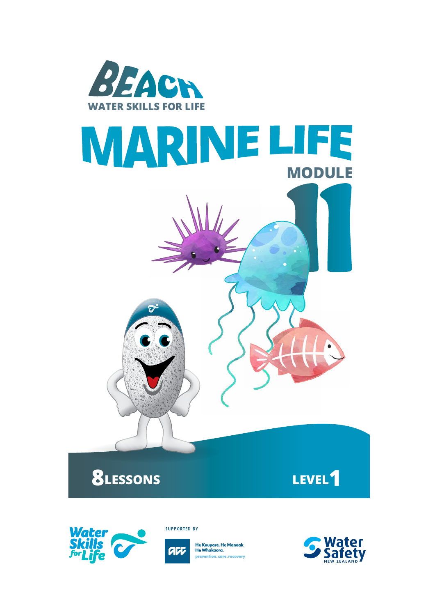





**SUPPORTED BY** 



He Kaupare. He Manaak<br>He Whakaora. prevention.care.recovery

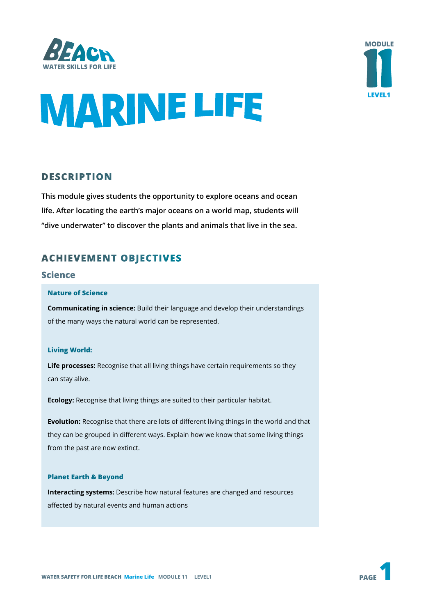



# **MARINE LIFE**

# **DESCRIPTION**

**This module gives students the opportunity to explore oceans and ocean life. After locating the earth's major oceans on a world map, students will "dive underwater" to discover the plants and animals that live in the sea.** 

# **ACHIEVEMENT OBJECTIVES**

## **Science**

#### **Nature of Science**

**Communicating in science:** Build their language and develop their understandings of the many ways the natural world can be represented.

#### **Living World:**

**Life processes:** Recognise that all living things have certain requirements so they can stay alive.

**Ecology:** Recognise that living things are suited to their particular habitat.

**Evolution:** Recognise that there are lots of different living things in the world and that they can be grouped in different ways. Explain how we know that some living things from the past are now extinct.

#### **Planet Earth & Beyond**

**Interacting systems:** Describe how natural features are changed and resources affected by natural events and human actions

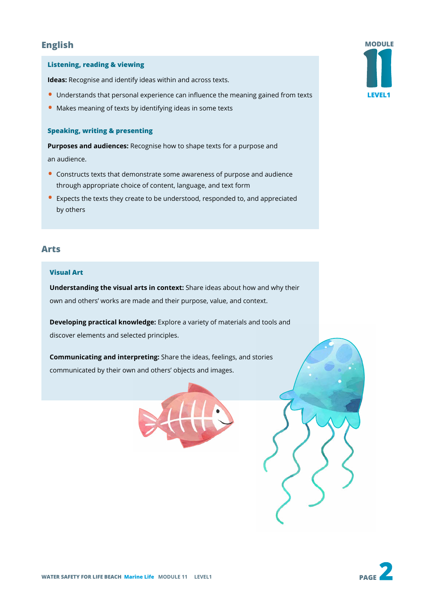# **English**

#### **Listening, reading & viewing**

**Ideas:** Recognise and identify ideas within and across texts.

- Understands that personal experience can influence the meaning gained from texts
- Makes meaning of texts by identifying ideas in some texts

#### **Speaking, writing & presenting**

**Purposes and audiences:** Recognise how to shape texts for a purpose and an audience.

- Constructs texts that demonstrate some awareness of purpose and audience through appropriate choice of content, language, and text form
- Expects the texts they create to be understood, responded to, and appreciated by others

#### **Arts**

#### **Visual Art**

**Understanding the visual arts in context:** Share ideas about how and why their own and others' works are made and their purpose, value, and context.

**Developing practical knowledge:** Explore a variety of materials and tools and discover elements and selected principles.

**Communicating and interpreting:** Share the ideas, feelings, and stories communicated by their own and others' objects and images.





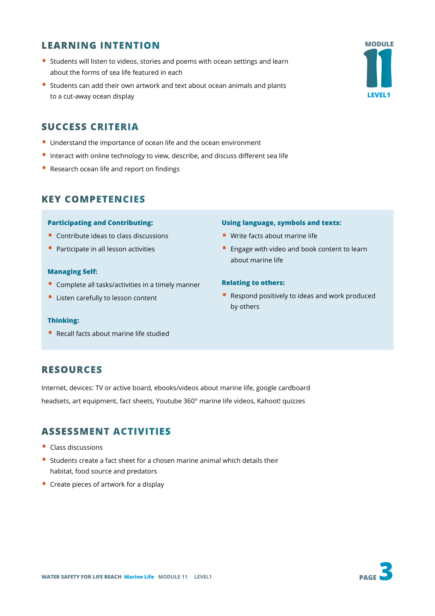# **LEARNING INTENTION**

- Students will listen to videos, stories and poems with ocean settings and learn about the forms of sea life featured in each
- Students can add their own artwork and text about ocean animals and plants to a cut-away ocean display

# **SUCCESS CRITERIA**

- Understand the importance of ocean life and the ocean environment
- Interact with online technology to view, describe, and discuss different sea life
- Research ocean life and report on findings

# **KEY COMPETENCIES**

#### **Participating and Contributing:**

- Contribute ideas to class discussions
- Participate in all lesson activities

#### **Managing Self:**

- Complete all tasks/activities in a timely manner
- Listen carefully to lesson content

#### **Thinking:**

• Recall facts about marine life studied

# **RESOURCES**

Internet, devices: TV or active board, ebooks/videos about marine life, google cardboard headsets, art equipment, fact sheets, Youtube 360° marine life videos, Kahoot! quizzes

# **ASSESSMENT ACTIVITIES**

- Class discussions
- Students create a fact sheet for a chosen marine animal which details their habitat, food source and predators
- Create pieces of artwork for a display

# **WATER SAFETY FOR LIFE BEACH Marine Life MODULE 11 LEVEL1**

#### **Using language, symbols and texts:**

- Write facts about marine life
- Engage with video and book content to learn about marine life

#### **Relating to others:**

• Respond positively to ideas and work produced by others

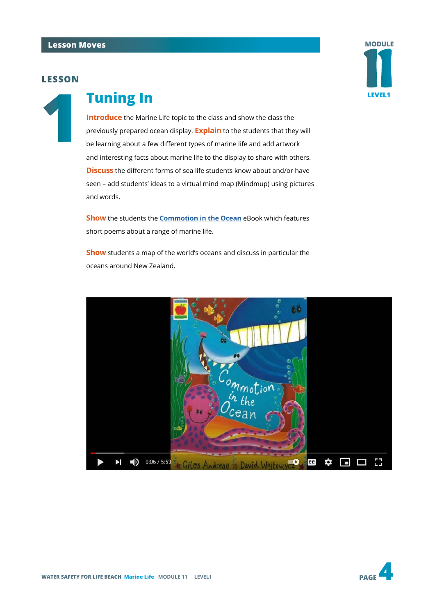

# **1 Tuning In**

**Introduce** the Marine Life topic to the class and show the class the previously prepared ocean display. **Explain** to the students that they will be learning about a few different types of marine life and add artwork and interesting facts about marine life to the display to share with others. **Discuss** the different forms of sea life students know about and/or have seen – add students' ideas to a virtual mind map (Mindmup) using pictures and words.

**Show** the students the **[Commotion in the Ocean](https://www.youtube.com/watch?v=9pRhgZ8Jffs)** eBook which features short poems about a range of marine life.

**Show** students a map of the world's oceans and discuss in particular the oceans around New Zealand.



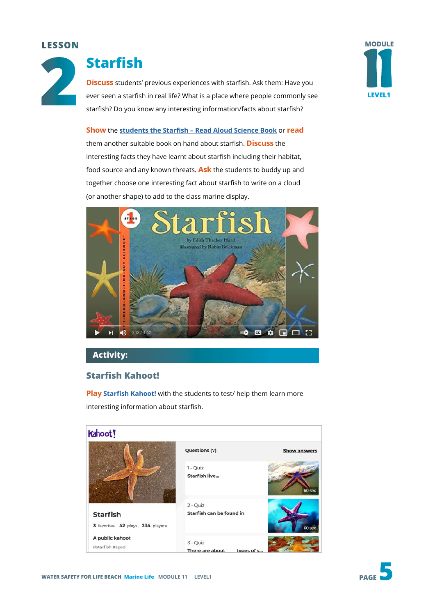

# **Starfish**

**Discuss** students' previous experiences with starfish. Ask them: Have you ever seen a starfish in real life? What is a place where people commonly see starfish? Do you know any interesting information/facts about starfish?



**Show** the **[students the Starfish – Read Aloud Science Book](https://www.youtube.com/watch?v=MMCCg155GME)** or **read** them another suitable book on hand about starfish. **Discuss** the interesting facts they have learnt about starfish including their habitat, food source and any known threats. **Ask** the students to buddy up and together choose one interesting fact about starfish to write on a cloud (or another shape) to add to the class marine display.



# **Activity:**

# **Starfish Kahoot!**

**Play [Starfish Kahoot!](https://create.kahoot.it/share/starfish/92fbfdfc-5e25-4824-a68d-9e6e2aa53d78)** with the students to test/ help them learn more interesting information about starfish.



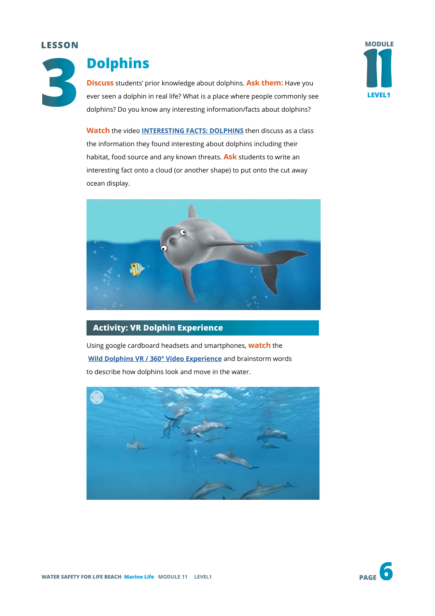

# **Dolphins**

**Discuss** students' prior knowledge about dolphins. **Ask them:** Have you ever seen a dolphin in real life? What is a place where people commonly see dolphins? Do you know any interesting information/facts about dolphins?

**Watch** the video **[INTERESTING FACTS: DOLPHINS](https://www.youtube.com/watch?v=IY5Sqh4mk60)** then discuss as a class the information they found interesting about dolphins including their habitat, food source and any known threats. **Ask** students to write an interesting fact onto a cloud (or another shape) to put onto the cut away ocean display.



# **Activity: VR Dolphin Experience**

Using google cardboard headsets and smartphones, **watch** the **[Wild Dolphins VR / 360° Video Experience](https://www.youtube.com/watch?v=BbT_e8lWWdo)** and brainstorm words to describe how dolphins look and move in the water.



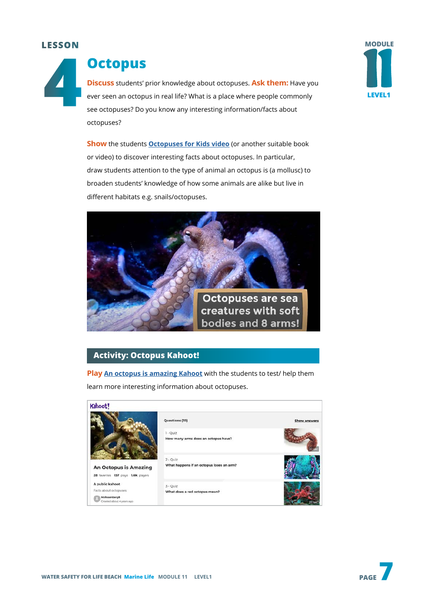

# **Octopus**

**Discuss** students' prior knowledge about octopuses. **Ask them:** Have you ever seen an octopus in real life? What is a place where people commonly see octopuses? Do you know any interesting information/facts about octopuses?



**Show** the students **[Octopuses for Kids video](https://www.youtube.com/watch?v=4IzxtbJLhJY&t=59s)** (or another suitable book or video) to discover interesting facts about octopuses. In particular, draw students attention to the type of animal an octopus is (a mollusc) to broaden students' knowledge of how some animals are alike but live in different habitats e.g. snails/octopuses.



# **Activity: Octopus Kahoot!**

**Play [An octopus is amazing Kahoot](https://create.kahoot.it/share/an-octopus-is-amazing/158e3270-5bf2-4014-8553-6230bb1debcf)** with the students to test/ help them learn more interesting information about octopuses.

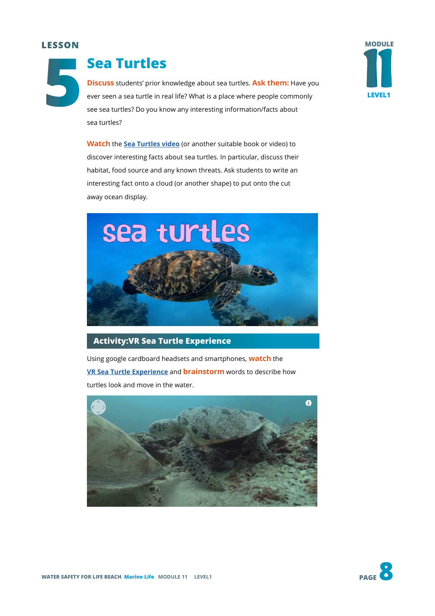**5**



# **Sea Turtles**

**Discuss** students' prior knowledge about sea turtles. **Ask them:** Have you ever seen a sea turtle in real life? What is a place where people commonly see sea turtles? Do you know any interesting information/facts about sea turtles?

**Watch** the **[Sea Turtles video](https://www.youtube.com/watch?v=EIffdbFZMPQ)** (or another suitable book or video) to discover interesting facts about sea turtles. In particular, discuss their habitat, food source and any known threats. Ask students to write an interesting fact onto a cloud (or another shape) to put onto the cut away ocean display.



## **Activity:VR Sea Turtle Experience**

Using google cardboard headsets and smartphones, **watch** the **[VR Sea Turtle Experience](https://www.youtube.com/watch?v=8EtfihvMLyQ)** and **brainstorm** words to describe how turtles look and move in the water.